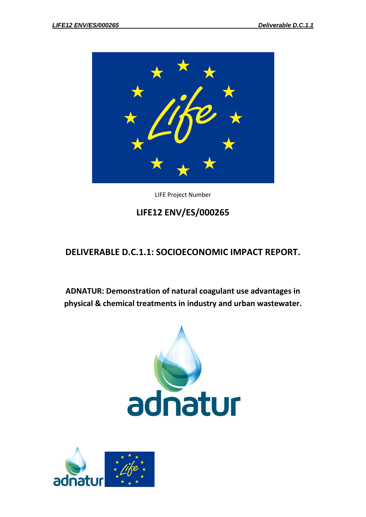

LIFE Project Number

# **LIFE12 ENV/ES/000265**

# **DELIVERABLE D.C.1.1: SOCIOECONOMIC IMPACT REPORT.**

**ADNATUR: Demonstration of natural coagulant use advantages in physical & chemical treatments in industry and urban wastewater.**



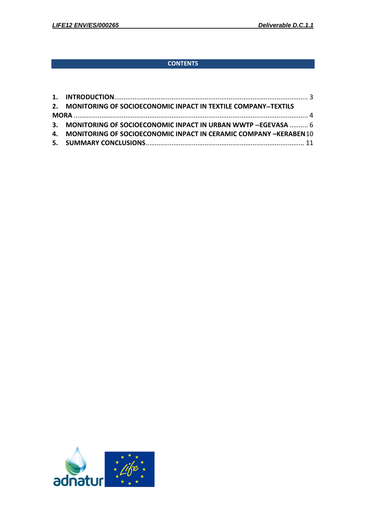## **CONTENTS**

| 2. MONITORING OF SOCIOECONOMIC INPACT IN TEXTILE COMPANY-TEXTILS     |
|----------------------------------------------------------------------|
|                                                                      |
| 3. MONITORING OF SOCIOECONOMIC INPACT IN URBAN WWTP -EGEVASA  6      |
| 4. MONITORING OF SOCIOECONOMIC INPACT IN CERAMIC COMPANY -KERABEN 10 |
|                                                                      |

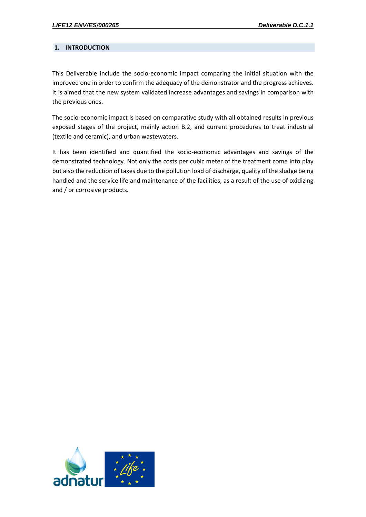### <span id="page-2-0"></span>**1. INTRODUCTION**

This Deliverable include the socio-economic impact comparing the initial situation with the improved one in order to confirm the adequacy of the demonstrator and the progress achieves. It is aimed that the new system validated increase advantages and savings in comparison with the previous ones.

The socio-economic impact is based on comparative study with all obtained results in previous exposed stages of the project, mainly action B.2, and current procedures to treat industrial (textile and ceramic), and urban wastewaters.

It has been identified and quantified the socio-economic advantages and savings of the demonstrated technology. Not only the costs per cubic meter of the treatment come into play but also the reduction of taxes due to the pollution load of discharge, quality of the sludge being handled and the service life and maintenance of the facilities, as a result of the use of oxidizing and / or corrosive products.

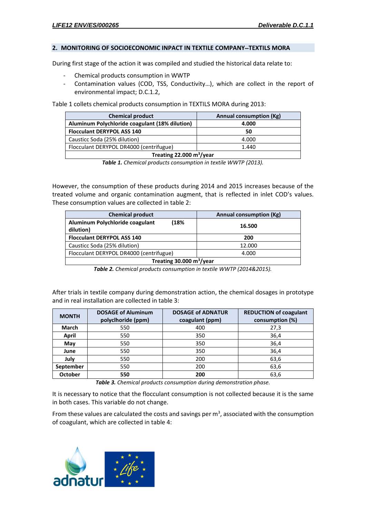#### <span id="page-3-0"></span>**2. MONITORING OF SOCIOECONOMIC INPACT IN TEXTILE COMPANYTEXTILS MORA**

During first stage of the action it was compiled and studied the historical data relate to:

- Chemical products consumption in WWTP
- Contamination values (COD, TSS, Conductivity...), which are collect in the report of environmental impact; D.C.1.2,

Table 1 collets chemical products consumption in TEXTILS MORA during 2013:

| <b>Chemical product</b>                          | Annual consumption (Kg) |  |  |  |
|--------------------------------------------------|-------------------------|--|--|--|
| Aluminum Polychloride coagulant (18% dilution)   | 4.000                   |  |  |  |
| <b>Flocculant DERYPOL ASS 140</b>                | 50                      |  |  |  |
| Causticc Soda (25% dilution)                     | 4.000                   |  |  |  |
| Flocculant DERYPOL DR4000 (centrifugue)<br>1.440 |                         |  |  |  |
| Treating 22.000 $m^3$ /year                      |                         |  |  |  |

*Table 1. Chemical products consumption in textile WWTP (2013).*

However, the consumption of these products during 2014 and 2015 increases because of the treated volume and organic contamination augment, that is reflected in inlet COD's values. These consumption values are collected in table 2:

| <b>Chemical product</b>                             | Annual consumption (Kg) |  |  |
|-----------------------------------------------------|-------------------------|--|--|
| Aluminum Polychloride coagulant<br>18%<br>dilution) | 16.500                  |  |  |
| <b>Flocculant DERYPOL ASS 140</b>                   | 200                     |  |  |
| Causticc Soda (25% dilution)                        | 12.000                  |  |  |
| Flocculant DERYPOL DR4000 (centrifugue)             | 4.000                   |  |  |
| Treating 30.000 $m^3$ /year                         |                         |  |  |

*Table 2. Chemical products consumption in textile WWTP (2014&2015).*

After trials in textile company during demonstration action, the chemical dosages in prototype and in real installation are collected in table 3:

| <b>MONTH</b> | <b>DOSAGE of Aluminum</b><br>polyclhoride (ppm) | <b>DOSAGE of ADNATUR</b><br>coagulant (ppm) | <b>REDUCTION of coagulant</b><br>consumption (%) |
|--------------|-------------------------------------------------|---------------------------------------------|--------------------------------------------------|
| <b>March</b> | 550                                             | 400                                         | 27,3                                             |
| April        | 550                                             | 350                                         | 36,4                                             |
| May          | 550                                             | 350                                         | 36,4                                             |
| June         | 550                                             | 350                                         | 36,4                                             |
| July         | 550                                             | 200                                         | 63,6                                             |
| September    | 550                                             | 200                                         | 63,6                                             |
| October      | 550                                             | 200                                         | 63,6                                             |

*Table 3. Chemical products consumption during demonstration phase.*

It is necessary to notice that the flocculant consumption is not collected because it is the same in both cases. This variable do not change.

From these values are calculated the costs and savings per  $m<sup>3</sup>$ , associated with the consumption of coagulant, which are collected in table 4:

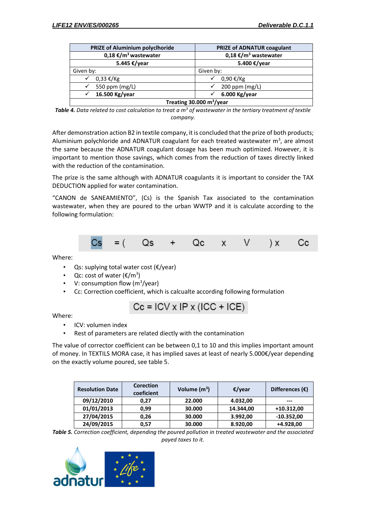| PRIZE of Aluminium polyclhoride  | <b>PRIZE of ADNATUR coagulant</b> |  |  |
|----------------------------------|-----------------------------------|--|--|
| 0,18 €/m <sup>3</sup> wastewater | 0,18 €/m <sup>3</sup> wastewater  |  |  |
| 5.445 €/year                     | 5.400 €/year                      |  |  |
| Given by:                        | Given by:                         |  |  |
| $0,33 \notin$ /Kg<br>✓           | 0,90 €/Kg<br>$\checkmark$         |  |  |
| 550 ppm (mg/L)                   | 200 ppm (mg/L)                    |  |  |
| 16.500 Kg/year                   | 6.000 Kg/year<br>$\checkmark$     |  |  |
| Treating 30.000 $m^3$ /year      |                                   |  |  |

*Table 4. Data related to cost calculation to treat a m<sup>3</sup> of wastewater in the tertiary treatment of textile company.*

After demonstration action B2 in textile company, it is concluded that the prize of both products; Aluminium polychloride and ADNATUR coagulant for each treated wastewater  $m<sup>3</sup>$ , are almost the same because the ADNATUR coagulant dosage has been much optimized. However, it is important to mention those savings, which comes from the reduction of taxes directly linked with the reduction of the contamination.

The prize is the same although with ADNATUR coagulants it is important to consider the TAX DEDUCTION applied for water contamination.

"CANON de SANEAMIENTO", (Cs) is the Spanish Tax associated to the contamination wastewater, when they are poured to the urban WWTP and it is calculate according to the following formulation:



Where:

- Qs: suplying total water cost (€/year)
- Qc: cost of water  $(\text{E/m}^3)$
- V: consumption flow  $(m^3$ /year)
- Cc: Correction coefficient, which is calcualte according following formulation

$$
Cc = ICV \times IP \times (ICC + ICE)
$$

Where:

- ICV: volumen index
- Rest of parameters are related diectly with the contamination

The value of corrector coefficient can be between 0,1 to 10 and this implies important amount of money. In TEXTILS MORA case, it has implied saves at least of nearly 5.000€/year depending on the exactly volume poured, see table 5.

| <b>Resolution Date</b> | <b>Corection</b><br>coeficient | Volume $(m^3)$ | €/year    | Differences $(\epsilon)$ |
|------------------------|--------------------------------|----------------|-----------|--------------------------|
| 09/12/2010             | 0.27                           | 22,000         | 4.032,00  | $---$                    |
| 01/01/2013             | 0.99                           | 30.000         | 14.344,00 | $+10.312,00$             |
| 27/04/2015             | 0.26                           | 30.000         | 3.992,00  | $-10.352,00$             |
| 24/09/2015             | 0.57                           | 30.000         | 8.920,00  | +4.928,00                |

*Table 5. Correction coefficient, depending the poured pollution in treated wastewater and the associated payed taxes to it.*

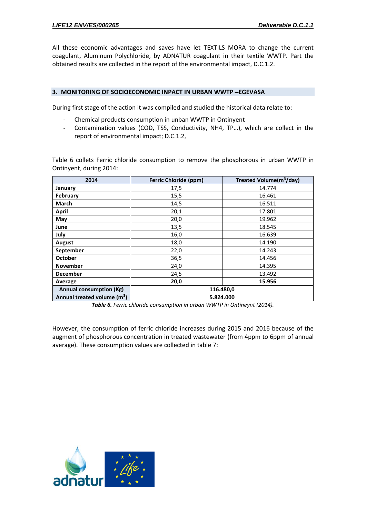All these economic advantages and saves have let TEXTILS MORA to change the current coagulant, Aluminum Polychloride, by ADNATUR coagulant in their textile WWTP. Part the obtained results are collected in the report of the environmental impact, D.C.1.2.

#### <span id="page-5-0"></span>**3. MONITORING OF SOCIOECONOMIC INPACT IN URBAN WWTP EGEVASA**

During first stage of the action it was compiled and studied the historical data relate to:

- Chemical products consumption in unban WWTP in Ontinyent
- Contamination values (COD, TSS, Conductivity, NH4, TP…), which are collect in the report of environmental impact; D.C.1.2,

Table 6 collets Ferric chloride consumption to remove the phosphorous in urban WWTP in Ontinyent, during 2014:

| 2014                                    | <b>Ferric Chloride (ppm)</b> | Treated Volume(m <sup>3</sup> /day) |
|-----------------------------------------|------------------------------|-------------------------------------|
| January                                 | 17,5                         | 14.774                              |
| <b>February</b>                         | 15,5                         | 16.461                              |
| <b>March</b>                            | 14,5                         | 16.511                              |
| April                                   | 20,1                         | 17.801                              |
| May                                     | 20,0                         | 19.962                              |
| June                                    | 13,5                         | 18.545                              |
| July                                    | 16,0                         | 16.639                              |
| August                                  | 18,0                         | 14.190                              |
| September                               | 22,0                         | 14.243                              |
| <b>October</b>                          | 36,5                         | 14.456                              |
| <b>November</b>                         | 24,0                         | 14.395                              |
| <b>December</b>                         | 24,5                         | 13.492                              |
| Average                                 | 20,0                         | 15.956                              |
| <b>Annual consumption (Kg)</b>          | 116.480,0                    |                                     |
| Annual treated volume (m <sup>3</sup> ) | 5.824.000                    |                                     |

*Table 6. Ferric chloride consumption in urban WWTP in Ontineynt (2014).*

However, the consumption of ferric chloride increases during 2015 and 2016 because of the augment of phosphorous concentration in treated wastewater (from 4ppm to 6ppm of annual average). These consumption values are collected in table 7:

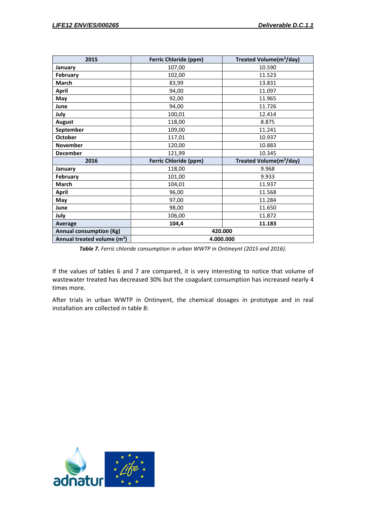| 2015                                    | <b>Ferric Chloride (ppm)</b> | Treated Volume(m <sup>3</sup> /day) |  |
|-----------------------------------------|------------------------------|-------------------------------------|--|
| January                                 | 107,00                       | 10.590                              |  |
| February                                | 102,00                       | 11.523                              |  |
| March                                   | 83,99                        | 13.831                              |  |
| <b>April</b>                            | 94,00                        | 11.097                              |  |
| May                                     | 92,00                        | 11.965                              |  |
| June                                    | 94,00                        | 11.726                              |  |
| July                                    | 100,01                       | 12.414                              |  |
| <b>August</b>                           | 118,00                       | 8.875                               |  |
| September                               | 109,00                       | 11.241                              |  |
| <b>October</b>                          | 117,01                       | 10.937                              |  |
| November                                | 120,00                       | 10.883                              |  |
| <b>December</b>                         | 121,99                       | 10.345                              |  |
| 2016                                    | <b>Ferric Chloride (ppm)</b> | Treated Volume(m <sup>3</sup> /day) |  |
| January                                 | 118,00                       | 9.968                               |  |
| February                                | 101,00                       | 9.933                               |  |
| March                                   | 104,01                       | 11.937                              |  |
| <b>April</b>                            | 96,00                        | 11.568                              |  |
| May                                     | 97,00                        | 11.284                              |  |
| June                                    | 98,00                        | 11.650                              |  |
| July                                    | 106,00                       | 11.872                              |  |
| <b>Average</b>                          | 104,4                        | 11.183                              |  |
| <b>Annual consumption (Kg)</b>          | 420.000                      |                                     |  |
| Annual treated volume (m <sup>3</sup> ) | 4.000.000                    |                                     |  |

*Table 7. Ferric chloride consumption in urban WWTP in Ontineynt (2015 and 2016).*

If the values of tables 6 and 7 are compared, it is very interesting to notice that volume of wastewater treated has decreased 30% but the coagulant consumption has increased nearly 4 times more.

After trials in urban WWTP in Ontinyent, the chemical dosages in prototype and in real installation are collected in table 8:

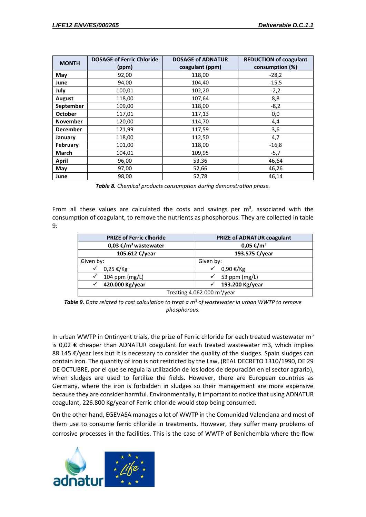|                 | <b>DOSAGE of Ferric Chloride</b> | <b>DOSAGE of ADNATUR</b> | <b>REDUCTION of coagulant</b> |
|-----------------|----------------------------------|--------------------------|-------------------------------|
| <b>MONTH</b>    | (ppm)                            | coagulant (ppm)          | consumption (%)               |
| May             | 92,00                            | 118,00                   | $-28,2$                       |
| June            | 94,00                            | 104,40                   | $-15,5$                       |
| July            | 100,01                           | 102,20                   | $-2,2$                        |
| August          | 118,00                           | 107,64                   | 8,8                           |
| September       | 109,00                           | 118,00                   | $-8,2$                        |
| <b>October</b>  | 117,01                           | 117,13                   | 0,0                           |
| <b>November</b> | 120,00                           | 114,70                   | 4,4                           |
| <b>December</b> | 121,99                           | 117,59                   | 3,6                           |
| January         | 118,00                           | 112,50                   | 4,7                           |
| February        | 101,00                           | 118,00                   | $-16,8$                       |
| March           | 104,01                           | 109,95                   | $-5,7$                        |
| April           | 96,00                            | 53,36                    | 46,64                         |
| May             | 97,00                            | 52,66                    | 46,26                         |
| June            | 98,00                            | 52,78                    | 46,14                         |

*Table 8. Chemical products consumption during demonstration phase.*

From all these values are calculated the costs and savings per  $m<sup>3</sup>$ , associated with the consumption of coagulant, to remove the nutrients as phosphorous. They are collected in table  $9:$ 

| <b>PRIZE of Ferric clhoride</b>  | PRIZE of ADNATUR coagulant |  |  |
|----------------------------------|----------------------------|--|--|
| 0,03 €/m <sup>3</sup> wastewater | 0,05 €/m <sup>3</sup>      |  |  |
| 105.612 €/year                   | 193.575 €/year             |  |  |
| Given by:                        | Given by:                  |  |  |
| 0,25 €/Kg                        | 0,90 €/Kg                  |  |  |
| 104 ppm (mg/L)                   | 53 ppm (mg/L)              |  |  |
| 420.000 Kg/year                  | 193.200 Kg/year            |  |  |
| Treating 4.062.000 $m^3$ /year   |                            |  |  |

*Table 9. Data related to cost calculation to treat a m<sup>3</sup> of wastewater in urban WWTP to remove phosphorous.*

In urban WWTP in Ontinyent trials, the prize of Ferric chloride for each treated wastewater  $m<sup>3</sup>$ is 0,02  $\epsilon$  cheaper than ADNATUR coagulant for each treated wastewater m3, which implies 88.145  $\epsilon$ /year less but it is necessary to consider the quality of the sludges. Spain sludges can contain iron. The quantity of iron is not restricted by the Law, (REAL DECRETO 1310/1990, DE 29 DE OCTUBRE, por el que se regula la utilización de los lodos de depuración en el sector agrario), when sludges are used to fertilize the fields. However, there are European countries as Germany, where the iron is forbidden in sludges so their management are more expensive because they are consider harmful. Environmentally, it important to notice that using ADNATUR coagulant, 226.800 Kg/year of Ferric chloride would stop being consumed.

On the other hand, EGEVASA manages a lot of WWTP in the Comunidad Valenciana and most of them use to consume ferric chloride in treatments. However, they suffer many problems of corrosive processes in the facilities. This is the case of WWTP of Benichembla where the flow

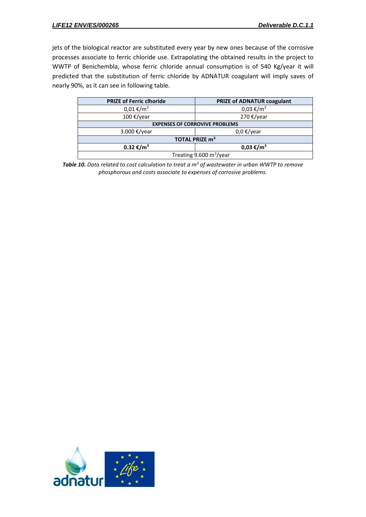jets of the biological reactor are substituted every year by new ones because of the corrosive processes associate to ferric chloride use. Extrapolating the obtained results in the project to WWTP of Benichembla, whose ferric chloride annual consumption is of 540 Kg/year it will predicted that the substitution of ferric chloride by ADNATUR coagulant will imply saves of nearly 90%, as it can see in following table.

| <b>PRIZE of Ferric clhoride</b>                | PRIZE of ADNATUR coagulant |  |  |
|------------------------------------------------|----------------------------|--|--|
| $0,01 \notin / m^3$                            | $0,03 \notin / m^3$        |  |  |
| 100 €/year                                     | 270 €/year                 |  |  |
| <b>EXPENSES OF CORROVIVE PROBLEMS</b>          |                            |  |  |
| 3.000 €/year                                   | $0,0 \notin$ /year         |  |  |
| TOTAL PRIZE m <sup>3</sup>                     |                            |  |  |
| 0.32 €/m <sup>3</sup><br>0,03 €/m <sup>3</sup> |                            |  |  |
| Treating $9.600 \text{ m}^3/\text{year}$       |                            |  |  |

*Table 10. Data related to cost calculation to treat a m<sup>3</sup> of wastewater in urban WWTP to remove phosphorous and costs associate to expenses of corrosive problems.*

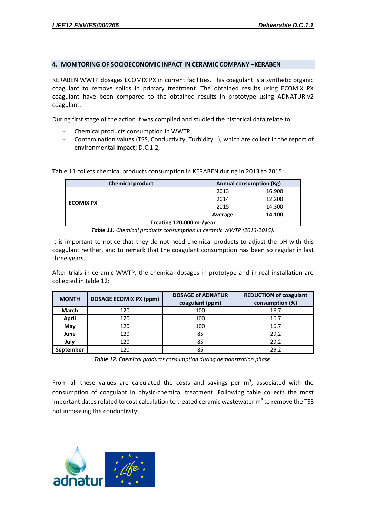#### <span id="page-9-0"></span>**4. MONITORING OF SOCIOECONOMIC INPACT IN CERAMIC COMPANY –KERABEN**

KERABEN WWTP dosages ECOMIX PX in current facilities. This coagulant is a synthetic organic coagulant to remove solids in primary treatment. The obtained results using ECOMIX PX coagulant have been compared to the obtained results in prototype using ADNATUR-v2 coagulant.

During first stage of the action it was compiled and studied the historical data relate to:

- Chemical products consumption in WWTP
- Contamination values (TSS, Conductivity, Turbidity…), which are collect in the report of environmental impact; D.C.1.2,

| <b>Chemical product</b><br><b>Annual consumption (Kg)</b> |         |        |
|-----------------------------------------------------------|---------|--------|
|                                                           | 2013    | 16.900 |
|                                                           | 2014    | 12.200 |
| <b>ECOMIX PX</b>                                          | 2015    | 14.300 |
|                                                           | Average | 14.100 |
| Treating 120.000 $m^3$ /year                              |         |        |

Table 11 collets chemical products consumption in KERABEN during in 2013 to 2015:

*Table 11. Chemical products consumption in ceramic WWTP (2013-2015).*

It is important to notice that they do not need chemical products to adjust the pH with this coagulant neither, and to remark that the coagulant consumption has been so regular in last three years.

After trials in ceramic WWTP, the chemical dosages in prototype and in real installation are collected in table 12:

| <b>MONTH</b> | <b>DOSAGE ECOMIX PX (ppm)</b> | <b>DOSAGE of ADNATUR</b><br>coagulant (ppm) | <b>REDUCTION of coagulant</b><br>consumption (%) |
|--------------|-------------------------------|---------------------------------------------|--------------------------------------------------|
| <b>March</b> | 120                           | 100                                         | 16,7                                             |
| April        | 120                           | 100                                         | 16,7                                             |
| May          | 120                           | 100                                         | 16,7                                             |
| June         | 120                           | 85                                          | 29,2                                             |
| July         | 120                           | 85                                          | 29,2                                             |
| September    | 120                           | 85                                          | 29,2                                             |

*Table 12. Chemical products consumption during demonstration phase.*

From all these values are calculated the costs and savings per  $m^3$ , associated with the consumption of coagulant in physic-chemical treatment. Following table collects the most important dates related to cost calculation to treated ceramic wastewater  $m<sup>3</sup>$  to remove the TSS not increasing the conductivity: